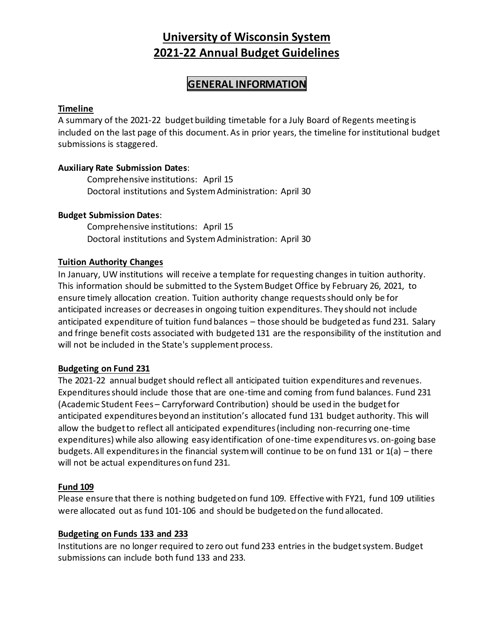# **University of Wisconsin System 2021-22 Annual Budget Guidelines**

## **GENERAL INFORMATION**

## **Timeline**

A summary of the 2021-22 budget building timetable for a July Board of Regents meeting is included on the last page of this document. As in prior years, the timeline for institutional budget submissions is staggered.

## **Auxiliary Rate Submission Dates**:

Comprehensive institutions: April 15 Doctoral institutions and System Administration: April 30

## **Budget Submission Dates**:

Comprehensive institutions: April 15 Doctoral institutions and System Administration: April 30

## **Tuition Authority Changes**

In January, UW institutions will receive a template for requesting changes in tuition authority. This information should be submitted to the System Budget Office by February 26, 2021, to ensure timely allocation creation. Tuition authority change requestsshould only be for anticipated increases or decreases in ongoing tuition expenditures. They should not include anticipated expenditure of tuition fund balances – those should be budgeted as fund 231. Salary and fringe benefit costs associated with budgeted 131 are the responsibility of the institution and will not be included in the State's supplement process.

## **Budgeting on Fund 231**

The 2021-22 annual budget should reflect all anticipated tuition expenditures and revenues. Expenditures should include those that are one-time and coming from fund balances. Fund 231 (Academic Student Fees – Carryforward Contribution) should be used in the budget for anticipated expenditures beyond an institution's allocated fund 131 budget authority. This will allow the budget to reflect all anticipated expenditures (including non-recurring one-time expenditures) while also allowing easy identification of one-time expenditures vs. on-going base budgets. All expenditures in the financial system will continue to be on fund 131 or 1(a) – there will not be actual expenditures on fund 231.

## **Fund 109**

Please ensure that there is nothing budgeted on fund 109. Effective with FY21, fund 109 utilities were allocated out as fund 101-106 and should be budgeted on the fund allocated.

#### **Budgeting on Funds 133 and 233**

Institutions are no longer required to zero out fund 233 entries in the budget system. Budget submissions can include both fund 133 and 233.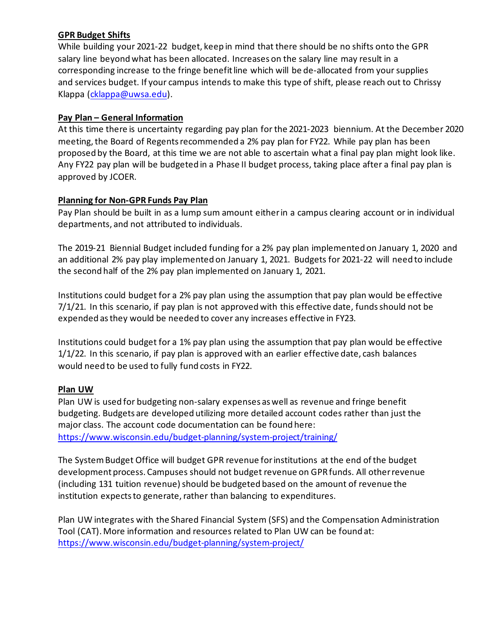## **GPR Budget Shifts**

While building your 2021-22 budget, keep in mind that there should be no shifts onto the GPR salary line beyond what has been allocated. Increases on the salary line may result in a corresponding increase to the fringe benefit line which will be de-allocated from your supplies and services budget. If your campus intends to make this type of shift, please reach out to Chrissy Klappa [\(cklappa@uwsa.edu\)](mailto:cklappa@uwsa.edu).

## **Pay Plan – General Information**

At this time there is uncertainty regarding pay plan for the 2021-2023 biennium. At the December 2020 meeting, the Board of Regents recommended a 2% pay plan for FY22. While pay plan has been proposed by the Board, at this time we are not able to ascertain what a final pay plan might look like. Any FY22 pay plan will be budgeted in a Phase II budget process, taking place after a final pay plan is approved by JCOER.

## **Planning for Non-GPR Funds Pay Plan**

Pay Plan should be built in as a lump sum amount either in a campus clearing account or in individual departments, and not attributed to individuals.

The 2019-21 Biennial Budget included funding for a 2% pay plan implemented on January 1, 2020 and an additional 2% pay play implemented on January 1, 2021. Budgets for 2021-22 will need to include the second half of the 2% pay plan implemented on January 1, 2021.

Institutions could budget for a 2% pay plan using the assumption that pay plan would be effective 7/1/21. In this scenario, if pay plan is not approved with this effective date, funds should not be expended as they would be needed to cover any increases effective in FY23.

Institutions could budget for a 1% pay plan using the assumption that pay plan would be effective 1/1/22. In this scenario, if pay plan is approved with an earlier effective date, cash balances would need to be used to fully fund costs in FY22.

## **Plan UW**

Plan UW is used for budgeting non-salary expenses as well as revenue and fringe benefit budgeting. Budgets are developed utilizing more detailed account codes rather than just the major class. The account code documentation can be found here: <https://www.wisconsin.edu/budget-planning/system-project/training/>

The System Budget Office will budget GPR revenue for institutions at the end of the budget development process. Campuses should not budget revenue on GPR funds. All other revenue (including 131 tuition revenue) should be budgeted based on the amount of revenue the institution expects to generate, rather than balancing to expenditures.

Plan UW integrates with the Shared Financial System (SFS) and the Compensation Administration Tool (CAT). More information and resources related to Plan UW can be found at: <https://www.wisconsin.edu/budget-planning/system-project/>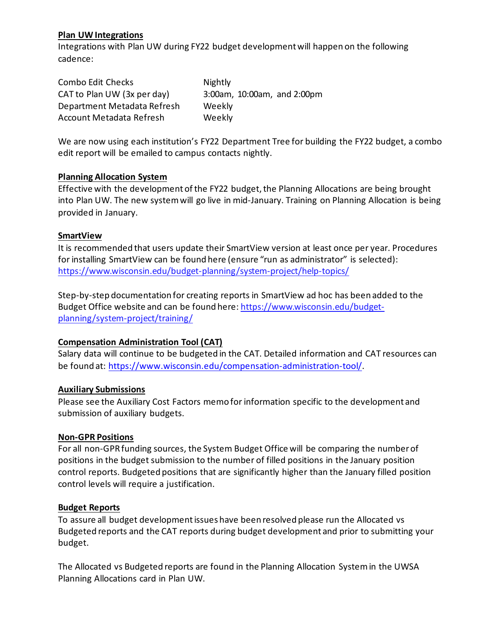## **Plan UW Integrations**

Integrations with Plan UW during FY22 budget development will happen on the following cadence:

| Combo Edit Checks           | Nightly                     |
|-----------------------------|-----------------------------|
| CAT to Plan UW (3x per day) | 3:00am, 10:00am, and 2:00pm |
| Department Metadata Refresh | Weekly                      |
| Account Metadata Refresh    | Weekly                      |

We are now using each institution's FY22 Department Tree for building the FY22 budget, a combo edit report will be emailed to campus contacts nightly.

#### **Planning Allocation System**

Effective with the development of the FY22 budget, the Planning Allocations are being brought into Plan UW. The new system will go live in mid-January. Training on Planning Allocation is being provided in January.

#### **SmartView**

It is recommended that users update their SmartView version at least once per year. Procedures for installing SmartView can be found here (ensure "run as administrator" is selected): <https://www.wisconsin.edu/budget-planning/system-project/help-topics/>

Step-by-step documentation for creating reports in SmartView ad hoc has been added to the Budget Office website and can be found here[: https://www.wisconsin.edu/budget](https://www.wisconsin.edu/budget-planning/system-project/training/)[planning/system-project/training/](https://www.wisconsin.edu/budget-planning/system-project/training/)

## **Compensation Administration Tool (CAT)**

Salary data will continue to be budgeted in the CAT. Detailed information and CAT resources can be found at: [https://www.wisconsin.edu/compensation-administration-tool/.](https://www.wisconsin.edu/compensation-administration-tool/)

#### **Auxiliary Submissions**

Please see the Auxiliary Cost Factors memo for information specific to the development and submission of auxiliary budgets.

#### **Non-GPR Positions**

For all non-GPR funding sources, the System Budget Office will be comparing the number of positions in the budget submission to the number of filled positions in the January position control reports. Budgeted positions that are significantly higher than the January filled position control levels will require a justification.

#### **Budget Reports**

To assure all budget development issues have been resolved please run the Allocated vs Budgeted reports and the CAT reports during budget development and prior to submitting your budget.

The Allocated vs Budgeted reports are found in the Planning Allocation System in the UWSA Planning Allocations card in Plan UW.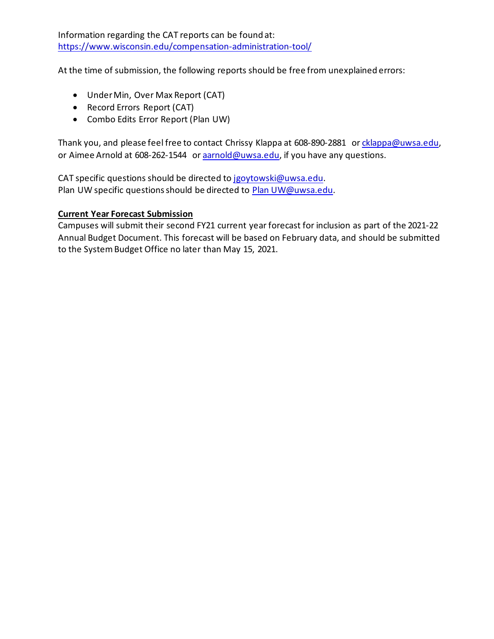Information regarding the CAT reports can be found at: <https://www.wisconsin.edu/compensation-administration-tool/>

At the time of submission, the following reports should be free from unexplained errors:

- Under Min, Over Max Report (CAT)
- Record Errors Report (CAT)
- Combo Edits Error Report (Plan UW)

Thank you, and please feel free to contact Chrissy Klappa at 608-890-2881 or [cklappa@uwsa.edu,](mailto:cklappa@uwsa.edu) or Aimee Arnold at 608-262-1544 or [aarnold@uwsa.edu,](mailto:aarnold@uwsa.edu) if you have any questions.

CAT specific questions should be directed to [jgoytowski@uwsa.edu.](mailto:jgoytowski@uwsa.edu) Plan UW specific questions should be directed to [Plan UW@uwsa.edu.](mailto:PlanUW@uwsa.edu)

## **Current Year Forecast Submission**

Campuses will submit their second FY21 current year forecast for inclusion as part of the 2021-22 Annual Budget Document. This forecast will be based on February data, and should be submitted to the System Budget Office no later than May 15, 2021.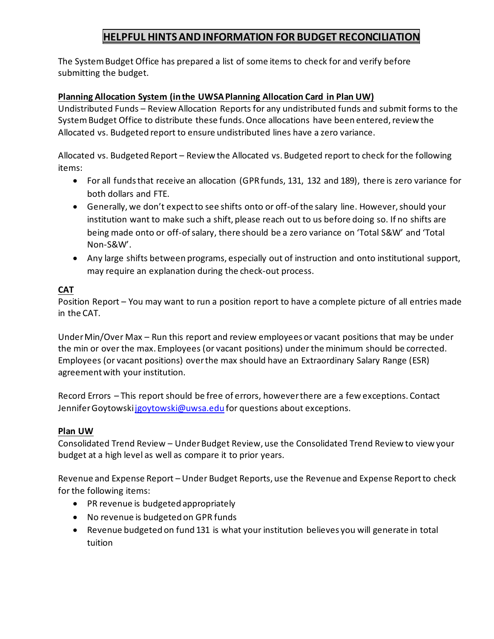# **HELPFUL HINTSANDINFORMATION FOR BUDGET RECONCILIATION**

The System Budget Office has prepared a list of some items to check for and verify before submitting the budget.

## **Planning Allocation System (in the UWSA Planning Allocation Card in Plan UW)**

Undistributed Funds – Review Allocation Reports for any undistributed funds and submit forms to the System Budget Office to distribute these funds. Once allocations have been entered, review the Allocated vs. Budgeted report to ensure undistributed lines have a zero variance.

Allocated vs. Budgeted Report – Review the Allocated vs. Budgeted report to check for the following items:

- For all funds that receive an allocation (GPR funds, 131, 132 and 189), there is zero variance for both dollars and FTE.
- Generally, we don't expect to see shifts onto or off-of the salary line. However, should your institution want to make such a shift, please reach out to us before doing so. If no shifts are being made onto or off-of salary, there should be a zero variance on 'Total S&W' and 'Total Non-S&W'.
- Any large shifts between programs, especially out of instruction and onto institutional support, may require an explanation during the check-out process.

## **CAT**

Position Report – You may want to run a position report to have a complete picture of all entries made in the CAT.

Under Min/Over Max – Run this report and review employees or vacant positions that may be under the min or over the max. Employees (or vacant positions) under the minimum should be corrected. Employees (or vacant positions) over the max should have an Extraordinary Salary Range (ESR) agreement with your institution.

Record Errors – This report should be free of errors, however there are a few exceptions. Contact Jennifer Goytowski jgoytowski@uwsa.edu for questions about exceptions.

## **Plan UW**

Consolidated Trend Review – Under Budget Review, use the Consolidated Trend Review to view your budget at a high level as well as compare it to prior years.

Revenue and Expense Report – Under Budget Reports, use the Revenue and Expense Report to check for the following items:

- PR revenue is budgeted appropriately
- No revenue is budgeted on GPR funds
- Revenue budgeted on fund 131 is what your institution believes you will generate in total tuition